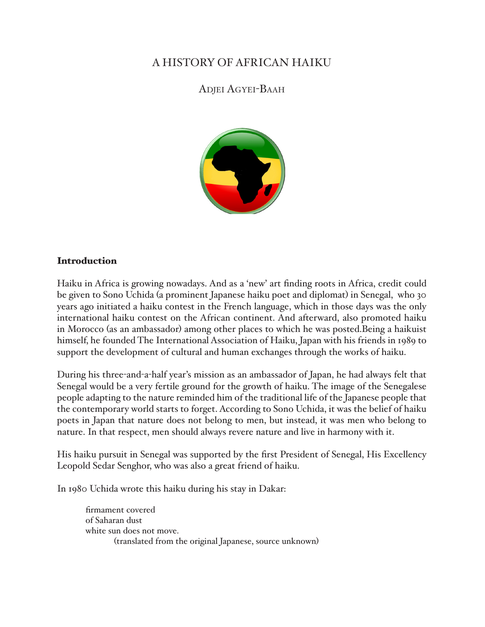## A HISTORY OF AFRICAN HAIKU

## ADJEI AGYEI-BAAH



## Introduction

Haiku in Africa is growing nowadays. And as a 'new' art finding roots in Africa, credit could be given to Sono Uchida (a prominent Japanese haiku poet and diplomat) in Senegal, who 30 years ago initiated a haiku contest in the French language, which in those days was the only international haiku contest on the African continent. And afterward, also promoted haiku in Morocco (as an ambassador) among other places to which he was posted.Being a haikuist himself, he founded The International Association of Haiku, Japan with his friends in 1989 to support the development of cultural and human exchanges through the works of haiku.

During his three-and-a-half year's mission as an ambassador of Japan, he had always felt that Senegal would be a very fertile ground for the growth of haiku. The image of the Senegalese people adapting to the nature reminded him of the traditional life of the Japanese people that the contemporary world starts to forget. According to Sono Uchida, it was the belief of haiku poets in Japan that nature does not belong to men, but instead, it was men who belong to nature. In that respect, men should always revere nature and live in harmony with it.

His haiku pursuit in Senegal was supported by the first President of Senegal, His Excellency Leopold Sedar Senghor, who was also a great friend of haiku.

In 1980 Uchida wrote this haiku during his stay in Dakar:

firmament covered of Saharan dust white sun does not move. (translated from the original Japanese, source unknown)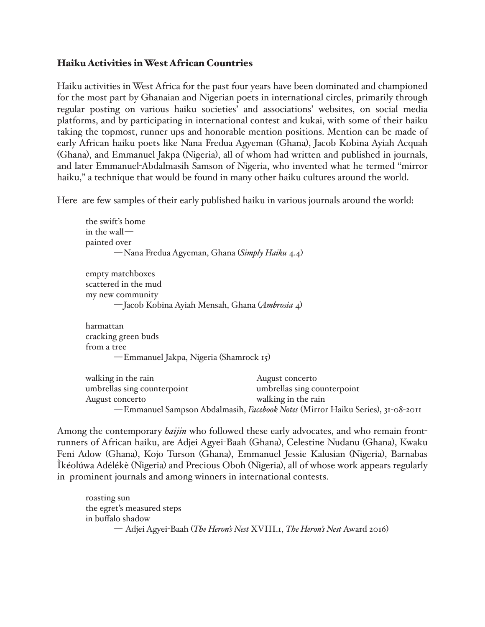## Haiku Activities in West African Countries

Haiku activities in West Africa for the past four years have been dominated and championed for the most part by Ghanaian and Nigerian poets in international circles, primarily through regular posting on various haiku societies' and associations' websites, on social media platforms, and by participating in international contest and kukai, with some of their haiku taking the topmost, runner ups and honorable mention positions. Mention can be made of early African haiku poets like Nana Fredua Agyeman (Ghana), Jacob Kobina Ayiah Acquah (Ghana), and Emmanuel Jakpa (Nigeria), all of whom had written and published in journals, and later Emmanuel-Abdalmasih Samson of Nigeria, who invented what he termed "mirror haiku," a technique that would be found in many other haiku cultures around the world.

Here are few samples of their early published haiku in various journals around the world:

```
the swift's home
in the wall—
painted over
       —Nana Fredua Agyeman, Ghana (Simply Haiku 4.4)
empty matchboxes
scattered in the mud
my new community
       —Jacob Kobina Ayiah Mensah, Ghana (Ambrosia 4)
harmattan
cracking green buds
from a tree
       —Emmanuel Jakpa, Nigeria (Shamrock 15)
walking in the rain and a set of the August concertor
```

| waiking in the rain         | Tragust contento                                                                |
|-----------------------------|---------------------------------------------------------------------------------|
| umbrellas sing counterpoint | umbrellas sing counterpoint                                                     |
| August concerto             | walking in the rain                                                             |
|                             | — Emmanuel Sampson Abdalmasih, Facebook Notes (Mirror Haiku Series), 31-08-2011 |

Among the contemporary *haijin* who followed these early advocates, and who remain frontrunners of African haiku, are Adjei Agyei-Baah (Ghana), Celestine Nudanu (Ghana), Kwaku Feni Adow (Ghana), Kojo Turson (Ghana), Emmanuel Jessie Kalusian (Nigeria), Barnabas Ìkéolúwa Adélékè (Nigeria) and Precious Oboh (Nigeria), all of whose work appears regularly in prominent journals and among winners in international contests.

roasting sun the egret's measured steps in buffalo shadow — Adjei Agyei-Baah (*The Heron's Nest* XVIII.1, *The Heron's Nest* Award 2016)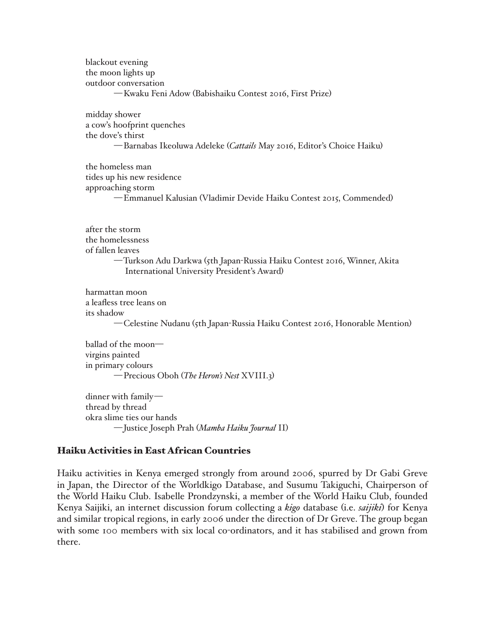blackout evening the moon lights up outdoor conversation —Kwaku Feni Adow (Babishaiku Contest 2016, First Prize)

midday shower a cow's hoofprint quenches the dove's thirst —Barnabas Ikeoluwa Adeleke (*Cattails* May 2016, Editor's Choice Haiku)

the homeless man tides up his new residence approaching storm —Emmanuel Kalusian (Vladimir Devide Haiku Contest 2015, Commended)

after the storm the homelessness of fallen leaves —Turkson Adu Darkwa (5th Japan-Russia Haiku Contest 2016, Winner, Akita International University President's Award)

harmattan moon a leafless tree leans on its shadow —Celestine Nudanu (5th Japan-Russia Haiku Contest 2016, Honorable Mention)

ballad of the moon virgins painted in primary colours —Precious Oboh (*The Heron's Nest* XVIII.3)

dinner with family thread by thread okra slime ties our hands —Justice Joseph Prah (*Mamba Haiku Journal* II)

#### Haiku Activities in East African Countries

Haiku activities in Kenya emerged strongly from around 2006, spurred by Dr Gabi Greve in Japan, the Director of the Worldkigo Database, and Susumu Takiguchi, Chairperson of the World Haiku Club. Isabelle Prondzynski, a member of the World Haiku Club, founded Kenya Saijiki, an internet discussion forum collecting a *kigo* database (i.e. *saijiki*) for Kenya and similar tropical regions, in early 2006 under the direction of Dr Greve. The group began with some 100 members with six local co-ordinators, and it has stabilised and grown from there.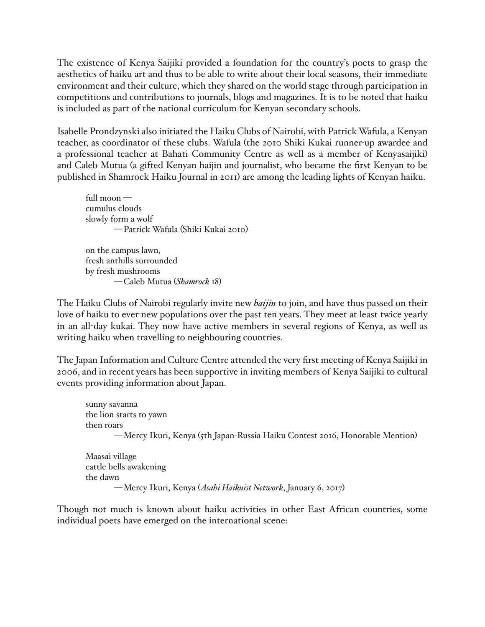The existence of Kenya Saijiki provided a foundation for the country's poets to grasp the aesthetics of haiku art and thus to be able to write about their local seasons, their immediate environment and their culture, which they shared on the world stage through participation in competitions and contributions to journals, blogs and magazines. It is to be noted that haiku is included as part of the national curriculum for Kenyan secondary schools.

Isabelle Prondzynski also initiated the Haiku Clubs of Nairobi, with Patrick Wafula, a Kenyan teacher, as coordinator of these clubs. Wafula (the 2010 Shiki Kukai runner-up awardee and a professional teacher at Bahati Community Centre as well as a member of Kenyasaijiki) and Caleb Mutua (a gifted Kenyan haijin and journalist, who became the first Kenyan to be published in Shamrock Haiku Journal in 2011) are among the leading lights of Kenyan haiku.

full moon cumulus clouds slowly form a wolf —Patrick Wafula (Shiki Kukai 2010)

on the campus lawn, fresh anthills surrounded by fresh mushrooms —Caleb Mutua (*Shamrock* 18)

The Haiku Clubs of Nairobi regularly invite new *haijin* to join, and have thus passed on their love of haiku to ever-new populations over the past ten years. They meet at least twice yearly in an all-day kukai. They now have active members in several regions of Kenya, as well as writing haiku when travelling to neighbouring countries.

The Japan Information and Culture Centre attended the very first meeting of Kenya Saijiki in 2006, and in recent years has been supportive in inviting members of Kenya Saijiki to cultural events providing information about Japan.

sunny savanna the lion starts to yawn then roars —Mercy Ikuri, Kenya (5th Japan-Russia Haiku Contest 2016, Honorable Mention)

Maasai village cattle bells awakening the dawn —Mercy Ikuri, Kenya (*Asahi Haikuist Network*, January 6, 2017)

Though not much is known about haiku activities in other East African countries, some individual poets have emerged on the international scene: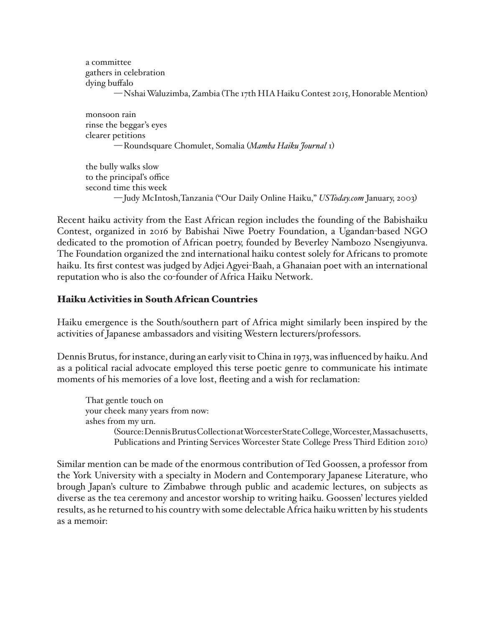```
a committee
gathers in celebration
dying buffalo
       —Nshai Waluzimba, Zambia (The 17th HIA Haiku Contest 2015, Honorable Mention)
```
monsoon rain rinse the beggar's eyes clearer petitions —Roundsquare Chomulet, Somalia (*Mamba Haiku Journal* 1)

the bully walks slow to the principal's office second time this week —Judy McIntosh,Tanzania ("Our Daily Online Haiku," *USToday.com* January, 2003)

Recent haiku activity from the East African region includes the founding of the Babishaiku Contest, organized in 2016 by Babishai Niwe Poetry Foundation, a Ugandan-based NGO dedicated to the promotion of African poetry, founded by Beverley Nambozo Nsengiyunva. The Foundation organized the 2nd international haiku contest solely for Africans to promote haiku. Its first contest was judged by Adjei Agyei-Baah, a Ghanaian poet with an international reputation who is also the co-founder of Africa Haiku Network.

## Haiku Activities in South African Countries

Haiku emergence is the South/southern part of Africa might similarly been inspired by the activities of Japanese ambassadors and visiting Western lecturers/professors.

Dennis Brutus, for instance, during an early visit to China in 1973, was influenced by haiku. And as a political racial advocate employed this terse poetic genre to communicate his intimate moments of his memories of a love lost, fleeting and a wish for reclamation:

That gentle touch on your cheek many years from now: ashes from my urn. (Source: Dennis Brutus Collection at Worcester State College, Worcester, Massachusetts, Publications and Printing Services Worcester State College Press Third Edition 2010)

Similar mention can be made of the enormous contribution of Ted Goossen, a professor from the York University with a specialty in Modern and Contemporary Japanese Literature, who brough Japan's culture to Zimbabwe through public and academic lectures, on subjects as diverse as the tea ceremony and ancestor worship to writing haiku. Goossen' lectures yielded results, as he returned to his country with some delectable Africa haiku written by his students as a memoir: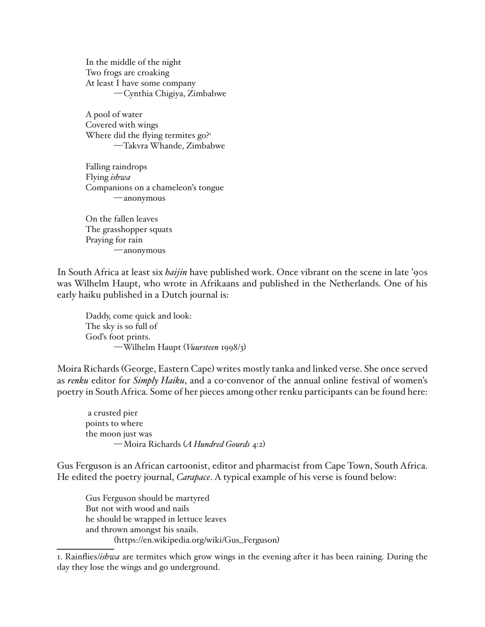In the middle of the night Two frogs are croaking At least I have some company —Cynthia Chigiya, Zimbabwe

A pool of water Covered with wings Where did the flying termites go?<sup>1</sup> —Takvra Whande, Zimbabwe

Falling raindrops Flying *ishwa* Companions on a chameleon's tongue —anonymous

On the fallen leaves The grasshopper squats Praying for rain —anonymous

In South Africa at least six *haijin* have published work. Once vibrant on the scene in late '90s was Wilhelm Haupt, who wrote in Afrikaans and published in the Netherlands. One of his early haiku published in a Dutch journal is:

Daddy, come quick and look: The sky is so full of God's foot prints. —Wilhelm Haupt (*Vuursteen* 1998/3)

Moira Richards (George, Eastern Cape) writes mostly tanka and linked verse. She once served as *renku* editor for *Simply Haiku*, and a co-convenor of the annual online festival of women's poetry in South Africa. Some of her pieces among other renku participants can be found here:

 a crusted pier points to where the moon just was —Moira Richards (*A Hundred Gourds* 4:2)

Gus Ferguson is an African cartoonist, editor and pharmacist from Cape Town, South Africa. He edited the poetry journal, *Carapace*. A typical example of his verse is found below:

Gus Ferguson should be martyred But not with wood and nails he should be wrapped in lettuce leaves and thrown amongst his snails. (https://en.wikipedia.org/wiki/Gus\_Ferguson)

<sup>1.</sup> Rainflies/*ishwa* are termites which grow wings in the evening after it has been raining. During the day they lose the wings and go underground.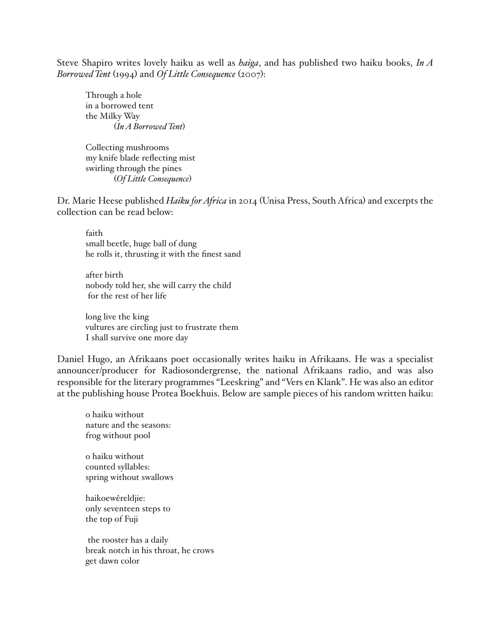Steve Shapiro writes lovely haiku as well as *haiga*, and has published two haiku books, *In A Borrowed Tent* (1994) and *Of Little Consequence* (2007):

Through a hole in a borrowed tent the Milky Way (*In A Borrowed Tent*)

Collecting mushrooms my knife blade reflecting mist swirling through the pines (*Of Little Consequence*)

Dr. Marie Heese published *Haiku for Africa* in 2014 (Unisa Press, South Africa) and excerpts the collection can be read below:

faith small beetle, huge ball of dung he rolls it, thrusting it with the finest sand

after birth nobody told her, she will carry the child for the rest of her life

long live the king vultures are circling just to frustrate them I shall survive one more day

Daniel Hugo, an Afrikaans poet occasionally writes haiku in Afrikaans. He was a specialist announcer/producer for Radiosondergrense, the national Afrikaans radio, and was also responsible for the literary programmes "Leeskring" and "Vers en Klank". He was also an editor at the publishing house Protea Boekhuis. Below are sample pieces of his random written haiku:

o haiku without nature and the seasons: frog without pool

o haiku without counted syllables: spring without swallows

haikoewêreldjie: only seventeen steps to the top of Fuji

 the rooster has a daily break notch in his throat, he crows get dawn color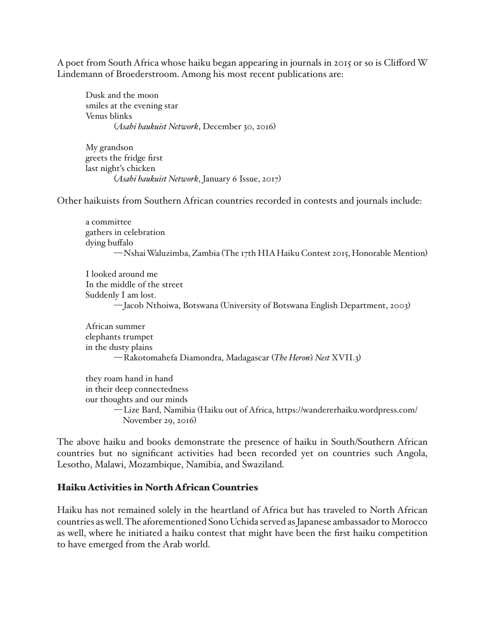A poet from South Africa whose haiku began appearing in journals in 2015 or so is Clifford W Lindemann of Broederstroom. Among his most recent publications are:

Dusk and the moon smiles at the evening star Venus blinks (*Asahi haukuist Network*, December 30, 2016)

My grandson greets the fridge first last night's chicken (*Asahi haukuist Network*, January 6 Issue, 2017)

Other haikuists from Southern African countries recorded in contests and journals include:

a committee gathers in celebration dying buffalo —Nshai Waluzimba, Zambia (The 17th HIA Haiku Contest 2015, Honorable Mention)

I looked around me In the middle of the street Suddenly I am lost. —Jacob Nthoiwa, Botswana (University of Botswana English Department, 2003)

African summer elephants trumpet in the dusty plains —Rakotomahefa Diamondra, Madagascar (*The Heron's Nest* XVII.3)

they roam hand in hand in their deep connectedness our thoughts and our minds —Lize Bard, Namibia (Haiku out of Africa, https://wandererhaiku.wordpress.com/ November 29, 2016)

The above haiku and books demonstrate the presence of haiku in South/Southern African countries but no significant activities had been recorded yet on countries such Angola, Lesotho, Malawi, Mozambique, Namibia, and Swaziland.

#### Haiku Activities in North African Countries

Haiku has not remained solely in the heartland of Africa but has traveled to North African countries as well. The aforementioned Sono Uchida served as Japanese ambassador to Morocco as well, where he initiated a haiku contest that might have been the first haiku competition to have emerged from the Arab world.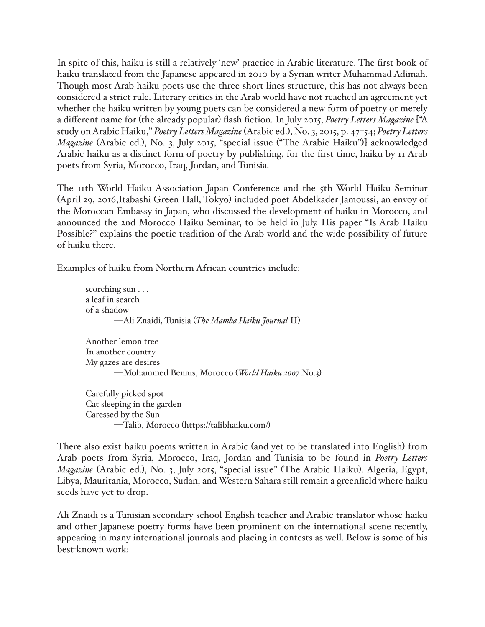In spite of this, haiku is still a relatively 'new' practice in Arabic literature. The first book of haiku translated from the Japanese appeared in 2010 by a Syrian writer Muhammad Adimah. Though most Arab haiku poets use the three short lines structure, this has not always been considered a strict rule. Literary critics in the Arab world have not reached an agreement yet whether the haiku written by young poets can be considered a new form of poetry or merely a different name for (the already popular) flash fiction. In July 2015, *Poetry Letters Magazine* ["A study on Arabic Haiku," *Poetry Letters Magazine* (Arabic ed.), No. 3, 2015, p. 47–54; *Poetry Letters Magazine* (Arabic ed.), No. 3, July 2015, "special issue ("The Arabic Haiku")] acknowledged Arabic haiku as a distinct form of poetry by publishing, for the first time, haiku by 11 Arab poets from Syria, Morocco, Iraq, Jordan, and Tunisia.

The 11th World Haiku Association Japan Conference and the 5th World Haiku Seminar (April 29, 2016,Itabashi Green Hall, Tokyo) included poet Abdelkader Jamoussi, an envoy of the Moroccan Embassy in Japan, who discussed the development of haiku in Morocco, and announced the 2nd Morocco Haiku Seminar, to be held in July. His paper "Is Arab Haiku Possible?" explains the poetic tradition of the Arab world and the wide possibility of future of haiku there.

Examples of haiku from Northern African countries include:

scorching sun . . . a leaf in search of a shadow —Ali Znaidi, Tunisia (*The Mamba Haiku Journal* II) Another lemon tree In another country My gazes are desires —Mohammed Bennis, Morocco (*World Haiku 2007* No.3) Carefully picked spot Cat sleeping in the garden Caressed by the Sun

```
—Talib, Morocco (https://talibhaiku.com/)
```
There also exist haiku poems written in Arabic (and yet to be translated into English) from Arab poets from Syria, Morocco, Iraq, Jordan and Tunisia to be found in *Poetry Letters Magazine* (Arabic ed.), No. 3, July 2015, "special issue" (The Arabic Haiku). Algeria, Egypt, Libya, Mauritania, Morocco, Sudan, and Western Sahara still remain a greenfield where haiku seeds have yet to drop.

Ali Znaidi is a Tunisian secondary school English teacher and Arabic translator whose haiku and other Japanese poetry forms have been prominent on the international scene recently, appearing in many international journals and placing in contests as well. Below is some of his best-known work: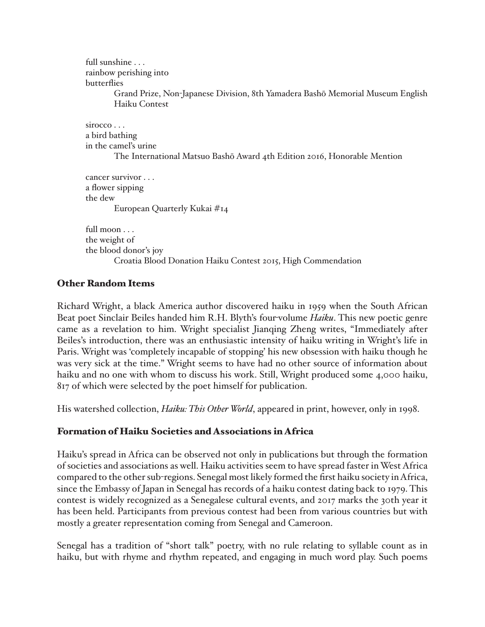full sunshine . . . rainbow perishing into butterflies Grand Prize, Non-Japanese Division, 8th Yamadera Bashō Memorial Museum English Haiku Contest sirocco . . . a bird bathing in the camel's urine The International Matsuo Bashō Award 4th Edition 2016, Honorable Mention cancer survivor . . . a flower sipping the dew European Quarterly Kukai #14

full moon . . . the weight of the blood donor's joy Croatia Blood Donation Haiku Contest 2015, High Commendation

## Other Random Items

Richard Wright, a black America author discovered haiku in 1959 when the South African Beat poet Sinclair Beiles handed him R.H. Blyth's four-volume *Haiku*. This new poetic genre came as a revelation to him. Wright specialist Jianqing Zheng writes, "Immediately after Beiles's introduction, there was an enthusiastic intensity of haiku writing in Wright's life in Paris. Wright was 'completely incapable of stopping' his new obsession with haiku though he was very sick at the time." Wright seems to have had no other source of information about haiku and no one with whom to discuss his work. Still, Wright produced some 4,000 haiku, 817 of which were selected by the poet himself for publication.

His watershed collection, *Haiku: This Other World*, appeared in print, however, only in 1998.

## Formation of Haiku Societies and Associations in Africa

Haiku's spread in Africa can be observed not only in publications but through the formation of societies and associations as well. Haiku activities seem to have spread faster in West Africa compared to the other sub-regions. Senegal most likely formed the first haiku society in Africa, since the Embassy of Japan in Senegal has records of a haiku contest dating back to 1979. This contest is widely recognized as a Senegalese cultural events, and 2017 marks the 30th year it has been held. Participants from previous contest had been from various countries but with mostly a greater representation coming from Senegal and Cameroon.

Senegal has a tradition of "short talk" poetry, with no rule relating to syllable count as in haiku, but with rhyme and rhythm repeated, and engaging in much word play. Such poems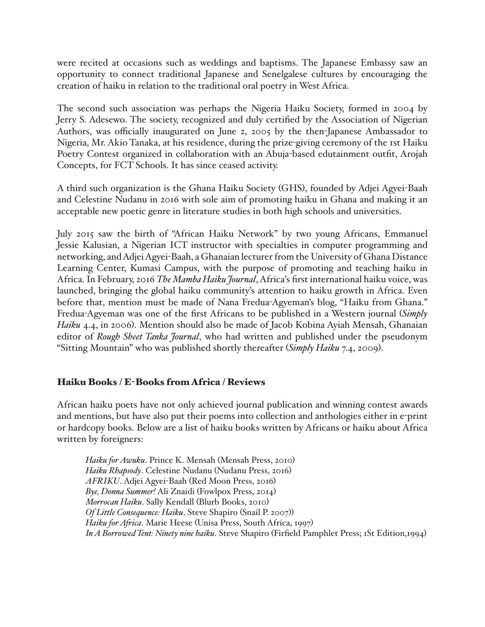were recited at occasions such as weddings and baptisms. The Japanese Embassy saw an opportunity to connect traditional Japanese and Senelgalese cultures by encouraging the creation of haiku in relation to the traditional oral poetry in West Africa.

The second such association was perhaps the Nigeria Haiku Society, formed in 2004 by Jerry S. Adesewo. The society, recognized and duly certified by the Association of Nigerian Authors, was officially inaugurated on June 2, 2005 by the then-Japanese Ambassador to Nigeria, Mr. Akio Tanaka, at his residence, during the prize-giving ceremony of the 1st Haiku Poetry Contest organized in collaboration with an Abuja-based edutainment outfit, Arojah Concepts, for FCT Schools. It has since ceased activity.

A third such organization is the Ghana Haiku Society (GHS), founded by Adjei Agyei-Baah and Celestine Nudanu in 2016 with sole aim of promoting haiku in Ghana and making it an acceptable new poetic genre in literature studies in both high schools and universities.

July 2015 saw the birth of "African Haiku Network" by two young Africans, Emmanuel Jessie Kalusian, a Nigerian ICT instructor with specialties in computer programming and networking, and Adjei Agyei-Baah, a Ghanaian lecturer from the University of Ghana Distance Learning Center, Kumasi Campus, with the purpose of promoting and teaching haiku in Africa. In February, 2016 *The Mamba Haiku Journal*, Africa's first international haiku voice, was launched, bringing the global haiku community's attention to haiku growth in Africa. Even before that, mention must be made of Nana Fredua-Agyeman's blog, "Haiku from Ghana." Fredua-Agyeman was one of the first Africans to be published in a Western journal (*Simply Haiku* 4.4, in 2006). Mention should also be made of Jacob Kobina Ayiah Mensah, Ghanaian editor of *Rough Sheet Tanka Journal*, who had written and published under the pseudonym "Sitting Mountain" who was published shortly thereafter (*Simply Haiku* 7.4, 2009).

## Haiku Books / E-Books from Africa / Reviews

African haiku poets have not only achieved journal publication and winning contest awards and mentions, but have also put their poems into collection and anthologies either in e-print or hardcopy books. Below are a list of haiku books written by Africans or haiku about Africa written by foreigners:

*Haiku for Awuku*. Prince K. Mensah (Mensah Press, 2010) *Haiku Rhapsody*. Celestine Nudanu (Nudanu Press, 2016) *AFRIKU*. Adjei Agyei-Baah (Red Moon Press, 2016) *Bye, Donna Summer!* Ali Znaidi (Fowlpox Press, 2014) *Morrocan Haiku*. Sally Kendall (Blurb Books, 2010) *Of Little Consequence: Haiku*. Steve Shapiro (Snail P. 2007)) *Haiku for Africa*. Marie Heese (Unisa Press, South Africa, 1997) *In A Borrowed Tent: Ninety nine haiku*. Steve Shapiro (Firfield Pamphlet Press; 1St Edition,1994)